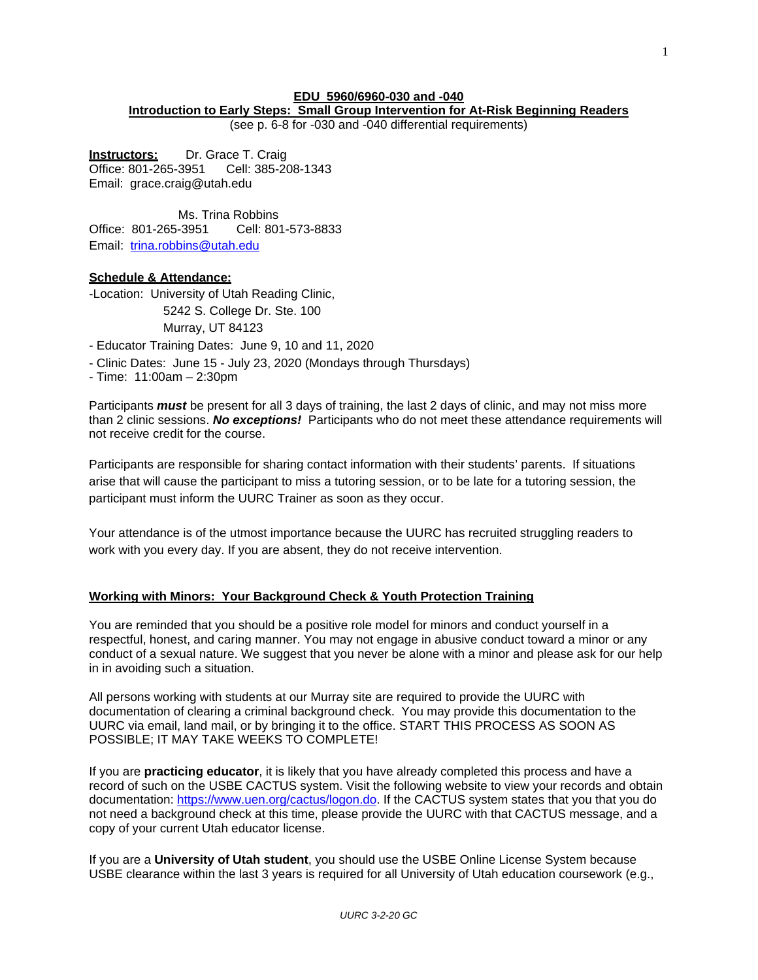# **EDU 5960/6960-030 and -040**

# **Introduction to Early Steps: Small Group Intervention for At-Risk Beginning Readers**

(see p. 6-8 for -030 and -040 differential requirements)

**Instructors:** Dr. Grace T. Craig<br>Office: 801-265-3951 Cell: 385-20 Office: 801-265-3951 Cell: 385-208-1343 E[mail: grace.craig@utah.edu](mailto:grace.craig@utah.edu)

Ms. Trina Robbins Office: 801-265-3951 Cell: 801-573-8833 Email: [trina.robbins@utah.edu](mailto:trina.robbins@utah.edu)

### **Schedule & Attendance:**

-Location: University of Utah Reading Clinic, 5242 S. College Dr. Ste. 100 Murray, UT 84123

- Educator Training Dates: June 9, 10 and 11, 2020

- Clinic Dates: June 15 - July 23, 2020 (Mondays through Thursdays)

- Time: 11:00am – 2:30pm

Participants *must* be present for all 3 days of training, the last 2 days of clinic, and may not miss more than 2 clinic sessions. *No exceptions!* Participants who do not meet these attendance requirements will not receive credit for the course.

Participants are responsible for sharing contact information with their students' parents. If situations arise that will cause the participant to miss a tutoring session, or to be late for a tutoring session, the participant must inform the UURC Trainer as soon as they occur.

Your attendance is of the utmost importance because the UURC has recruited struggling readers to work with you every day. If you are absent, they do not receive intervention.

### **Working with Minors: Your Background Check & Youth Protection Training**

You are reminded that you should be a positive role model for minors and conduct yourself in a respectful, honest, and caring manner. You may not engage in abusive conduct toward a minor or any conduct of a sexual nature. We suggest that you never be alone with a minor and please ask for our help in in avoiding such a situation.

All persons working with students at our Murray site are required to provide the UURC with documentation of clearing a criminal background check. You may provide this documentation to the UURC via email, land mail, or by bringing it to the office. START THIS PROCESS AS SOON AS POSSIBLE; IT MAY TAKE WEEKS TO COMPLETE!

If you are **practicing educator**, it is likely that you have already completed this process and have a record of such on the USBE CACTUS system. Visit the following website to view your records and obtain documentation: [https://www.uen.org/cactus/logon.do.](https://www.uen.org/cactus/logon.do) If the CACTUS system states that you that you do not need a background check at this time, please provide the UURC with that CACTUS message, and a copy of your current Utah educator license.

If you are a **University of Utah student**, you should use the USBE Online License System because USBE clearance within the last 3 years is required for all University of Utah education coursework (e.g.,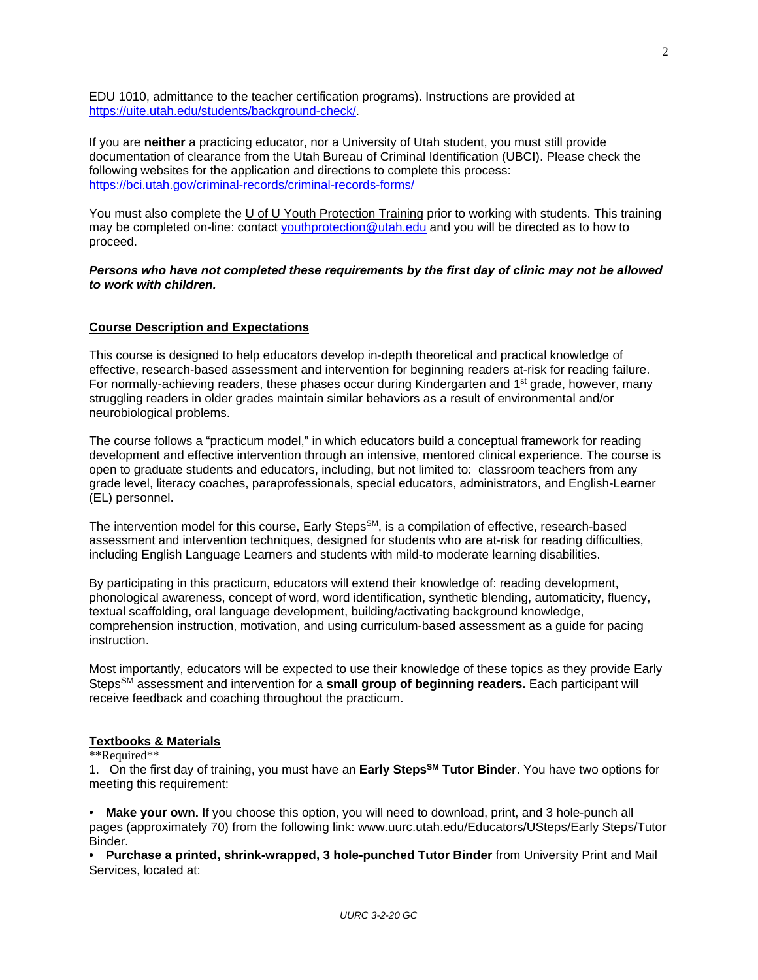EDU 1010, admittance to the teacher certification programs). Instructions are provided at [https://uite.utah.edu/students/background-check/.](https://uite.utah.edu/students/background-check/)

If you are **neither** a practicing educator, nor a University of Utah student, you must still provide documentation of clearance from the Utah Bureau of Criminal Identification (UBCI). Please check the following websites for the application and directions to complete this process: <https://bci.utah.gov/criminal-records/criminal-records-forms/>

You must also complete the U of U Youth Protection Training prior to working with students. This training may be completed on-line: contact [youthprotection@utah.edu](mailto:youthprotection@utah.edu) and you will be directed as to how to proceed.

### *Persons who have not completed these requirements by the first day of clinic may not be allowed to work with children.*

# **Course Description and Expectations**

This course is designed to help educators develop in-depth theoretical and practical knowledge of effective, research-based assessment and intervention for beginning readers at-risk for reading failure. For normally-achieving readers, these phases occur during Kindergarten and 1<sup>st</sup> grade, however, many struggling readers in older grades maintain similar behaviors as a result of environmental and/or neurobiological problems.

The course follows a "practicum model," in which educators build a conceptual framework for reading development and effective intervention through an intensive, mentored clinical experience. The course is open to graduate students and educators, including, but not limited to: classroom teachers from any grade level, literacy coaches, paraprofessionals, special educators, administrators, and English-Learner (EL) personnel.

The intervention model for this course, Early Steps<sup>SM</sup>, is a compilation of effective, research-based assessment and intervention techniques, designed for students who are at-risk for reading difficulties, including English Language Learners and students with mild-to moderate learning disabilities.

By participating in this practicum, educators will extend their knowledge of: reading development, phonological awareness, concept of word, word identification, synthetic blending, automaticity, fluency, textual scaffolding, oral language development, building/activating background knowledge, comprehension instruction, motivation, and using curriculum-based assessment as a guide for pacing instruction.

Most importantly, educators will be expected to use their knowledge of these topics as they provide Early StepsSM assessment and intervention for a **small group of beginning readers.** Each participant will receive feedback and coaching throughout the practicum.

# **Textbooks & Materials**

### \*\*Required\*\*

1. On the first day of training, you must have an **Early StepsSM Tutor Binder**. You have two options for meeting this requirement:

**• Make your own.** If you choose this option, you will need to download, print, and 3 hole-punch all pages (approximately 70) from the following link: www.uurc.utah.edu/Educators/USteps/Early Steps/Tutor Binder.

**• Purchase a printed, shrink-wrapped, 3 hole-punched Tutor Binder** from University Print and Mail Services, located at: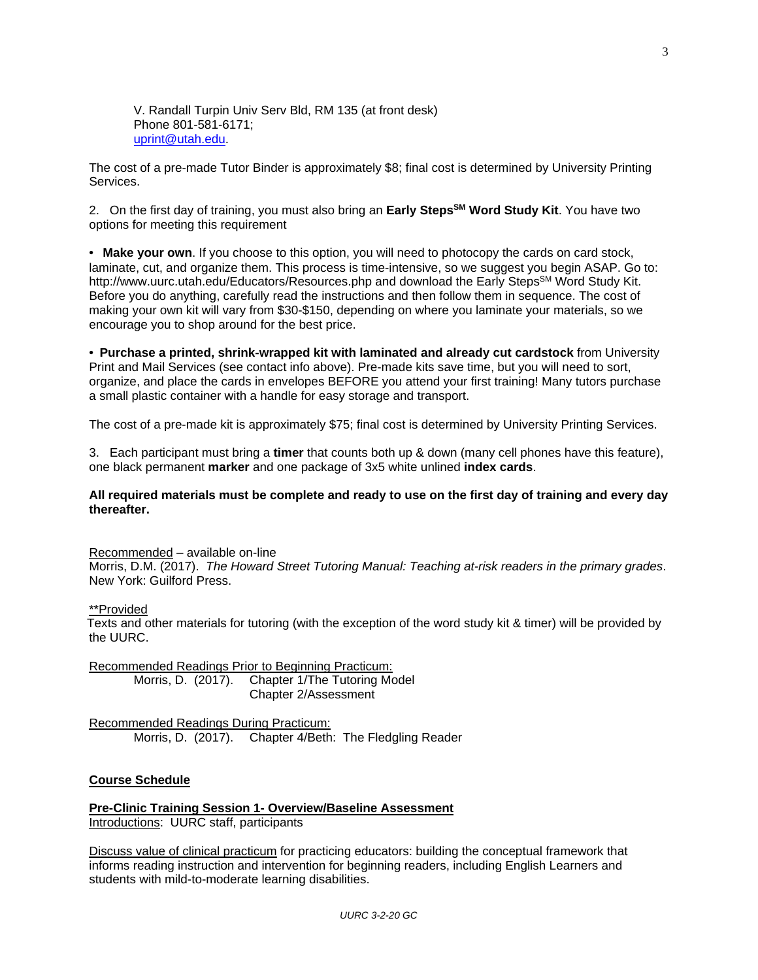V. Randall Turpin Univ Serv Bld, RM 135 (at front desk) Phone 801-581-6171; [uprint@utah.edu.](mailto:uprint@utah.edu)

The cost of a pre-made Tutor Binder is approximately \$8; final cost is determined by University Printing Services.

2. On the first day of training, you must also bring an **Early StepsSM Word Study Kit**. You have two options for meeting this requirement

**• Make your own**. If you choose to this option, you will need to photocopy the cards on card stock, laminate, cut, and organize them. This process is time-intensive, so we suggest you begin ASAP. Go to: http://www.uurc.utah.edu/Educators/Resources.php and download the Early Steps<sup>SM</sup> Word Study Kit. Before you do anything, carefully read the instructions and then follow them in sequence. The cost of making your own kit will vary from \$30-\$150, depending on where you laminate your materials, so we encourage you to shop around for the best price.

**• Purchase a printed, shrink-wrapped kit with laminated and already cut cardstock** from University Print and Mail Services (see contact info above). Pre-made kits save time, but you will need to sort, organize, and place the cards in envelopes BEFORE you attend your first training! Many tutors purchase a small plastic container with a handle for easy storage and transport.

The cost of a pre-made kit is approximately \$75; final cost is determined by University Printing Services.

3. Each participant must bring a **timer** that counts both up & down (many cell phones have this feature), one black permanent **marker** and one package of 3x5 white unlined **index cards**.

#### **All required materials must be complete and ready to use on the first day of training and every day thereafter.**

#### Recommended – available on-line

Morris, D.M. (2017). *The Howard Street Tutoring Manual: Teaching at-risk readers in the primary grades*. New York: Guilford Press.

#### \*\*Provided

Texts and other materials for tutoring (with the exception of the word study kit & timer) will be provided by the UURC.

Recommended Readings Prior to Beginning Practicum:<br>Morris, D. (2017). Chapter 1/The Tutoring Mo Chapter 1/The Tutoring Model Chapter 2/Assessment

Recommended Readings During Practicum: Morris, D. (2017). Chapter 4/Beth: The Fledgling Reader

#### **Course Schedule**

**Pre-Clinic Training Session 1- Overview/Baseline Assessment** Introductions: UURC staff, participants

Discuss value of clinical practicum for practicing educators: building the conceptual framework that informs reading instruction and intervention for beginning readers, including English Learners and students with mild-to-moderate learning disabilities.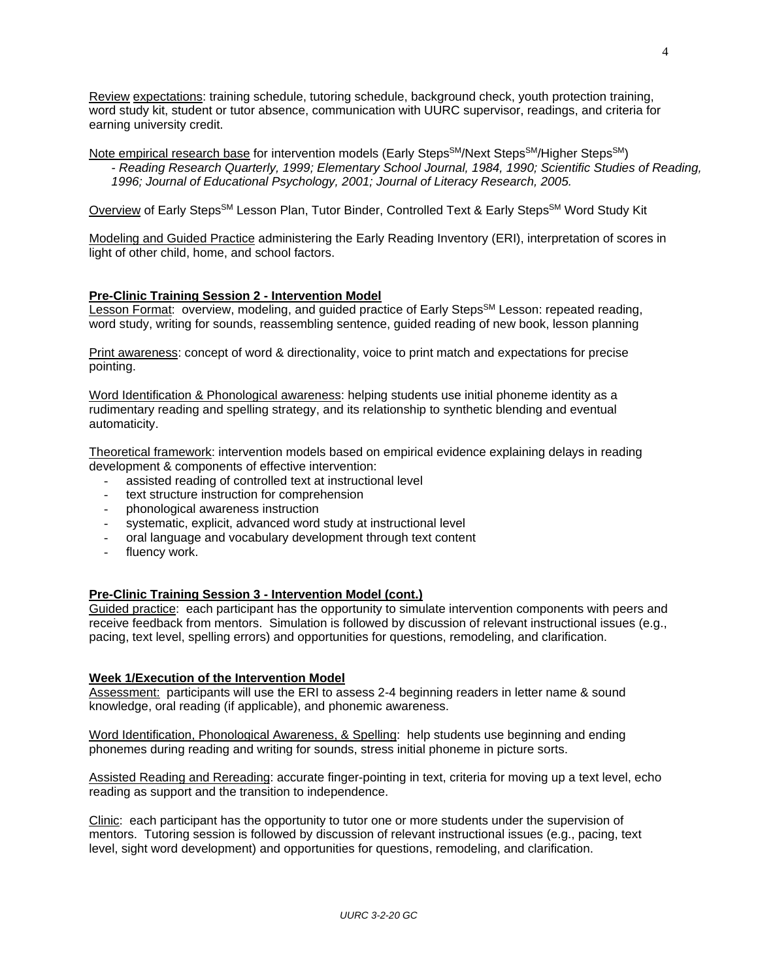Review expectations: training schedule, tutoring schedule, background check, youth protection training, word study kit, student or tutor absence, communication with UURC supervisor, readings, and criteria for earning university credit.

Note empirical research base for intervention models (Early Steps<sup>SM</sup>/Next Steps<sup>SM</sup>/Higher Steps<sup>SM</sup>) *- Reading Research Quarterly, 1999; Elementary School Journal, 1984, 1990; Scientific Studies of Reading, 1996; Journal of Educational Psychology, 2001; Journal of Literacy Research, 2005.*

Overview of Early Steps<sup>SM</sup> Lesson Plan, Tutor Binder, Controlled Text & Early Steps<sup>SM</sup> Word Study Kit

Modeling and Guided Practice administering the Early Reading Inventory (ERI), interpretation of scores in light of other child, home, and school factors.

# **Pre-Clinic Training Session 2 - Intervention Model**

Lesson Format: overview, modeling, and quided practice of Early Steps<sup>SM</sup> Lesson: repeated reading, word study, writing for sounds, reassembling sentence, guided reading of new book, lesson planning

Print awareness: concept of word & directionality, voice to print match and expectations for precise pointing.

Word Identification & Phonological awareness: helping students use initial phoneme identity as a rudimentary reading and spelling strategy, and its relationship to synthetic blending and eventual automaticity.

Theoretical framework: intervention models based on empirical evidence explaining delays in reading development & components of effective intervention:

- assisted reading of controlled text at instructional level
- text structure instruction for comprehension
- phonological awareness instruction
- systematic, explicit, advanced word study at instructional level
- oral language and vocabulary development through text content
- fluency work.

### **Pre-Clinic Training Session 3 - Intervention Model (cont.)**

Guided practice: each participant has the opportunity to simulate intervention components with peers and receive feedback from mentors. Simulation is followed by discussion of relevant instructional issues (e.g., pacing, text level, spelling errors) and opportunities for questions, remodeling, and clarification.

### **Week 1/Execution of the Intervention Model**

Assessment: participants will use the ERI to assess 2-4 beginning readers in letter name & sound knowledge, oral reading (if applicable), and phonemic awareness.

Word Identification, Phonological Awareness, & Spelling: help students use beginning and ending phonemes during reading and writing for sounds, stress initial phoneme in picture sorts.

Assisted Reading and Rereading: accurate finger-pointing in text, criteria for moving up a text level, echo reading as support and the transition to independence.

Clinic: each participant has the opportunity to tutor one or more students under the supervision of mentors. Tutoring session is followed by discussion of relevant instructional issues (e.g., pacing, text level, sight word development) and opportunities for questions, remodeling, and clarification.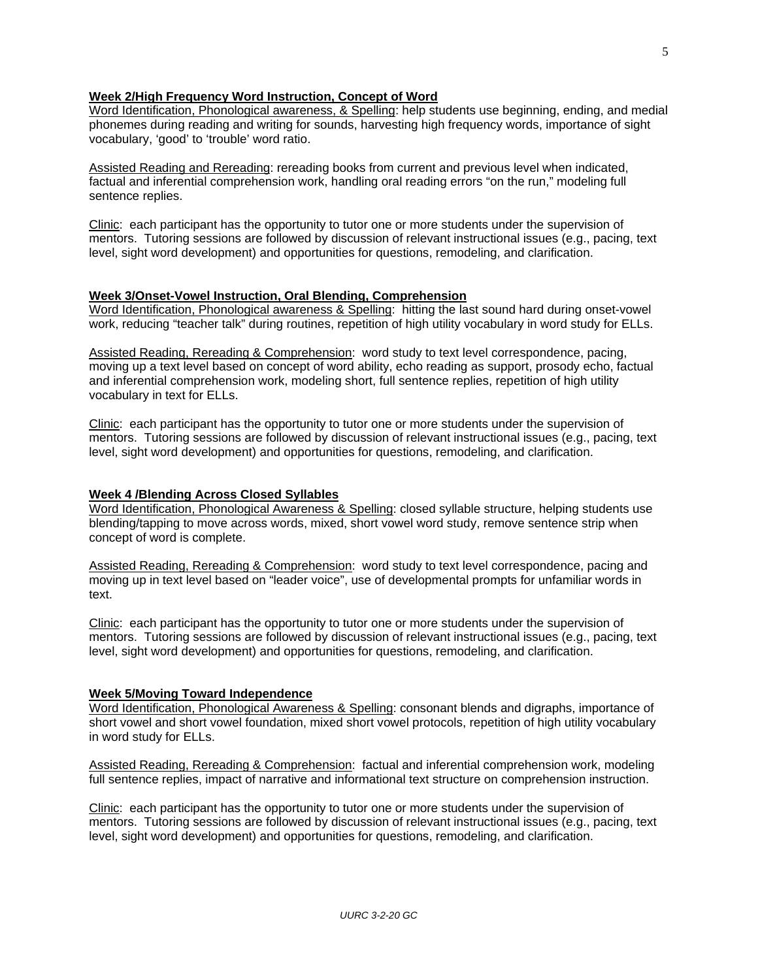### **Week 2/High Frequency Word Instruction, Concept of Word**

Word Identification, Phonological awareness, & Spelling: help students use beginning, ending, and medial phonemes during reading and writing for sounds, harvesting high frequency words, importance of sight vocabulary, 'good' to 'trouble' word ratio.

Assisted Reading and Rereading: rereading books from current and previous level when indicated, factual and inferential comprehension work, handling oral reading errors "on the run," modeling full sentence replies.

Clinic: each participant has the opportunity to tutor one or more students under the supervision of mentors. Tutoring sessions are followed by discussion of relevant instructional issues (e.g., pacing, text level, sight word development) and opportunities for questions, remodeling, and clarification.

# **Week 3/Onset-Vowel Instruction, Oral Blending, Comprehension**

Word Identification, Phonological awareness & Spelling: hitting the last sound hard during onset-vowel work, reducing "teacher talk" during routines, repetition of high utility vocabulary in word study for ELLs.

Assisted Reading, Rereading & Comprehension: word study to text level correspondence, pacing, moving up a text level based on concept of word ability, echo reading as support, prosody echo, factual and inferential comprehension work, modeling short, full sentence replies, repetition of high utility vocabulary in text for ELLs.

Clinic: each participant has the opportunity to tutor one or more students under the supervision of mentors. Tutoring sessions are followed by discussion of relevant instructional issues (e.g., pacing, text level, sight word development) and opportunities for questions, remodeling, and clarification.

# **Week 4 /Blending Across Closed Syllables**

Word Identification, Phonological Awareness & Spelling: closed syllable structure, helping students use blending/tapping to move across words, mixed, short vowel word study, remove sentence strip when concept of word is complete.

Assisted Reading, Rereading & Comprehension: word study to text level correspondence, pacing and moving up in text level based on "leader voice", use of developmental prompts for unfamiliar words in text.

Clinic: each participant has the opportunity to tutor one or more students under the supervision of mentors. Tutoring sessions are followed by discussion of relevant instructional issues (e.g., pacing, text level, sight word development) and opportunities for questions, remodeling, and clarification.

### **Week 5/Moving Toward Independence**

Word Identification, Phonological Awareness & Spelling: consonant blends and digraphs, importance of short vowel and short vowel foundation, mixed short vowel protocols, repetition of high utility vocabulary in word study for ELLs.

Assisted Reading, Rereading & Comprehension: factual and inferential comprehension work, modeling full sentence replies, impact of narrative and informational text structure on comprehension instruction.

Clinic: each participant has the opportunity to tutor one or more students under the supervision of mentors. Tutoring sessions are followed by discussion of relevant instructional issues (e.g., pacing, text level, sight word development) and opportunities for questions, remodeling, and clarification.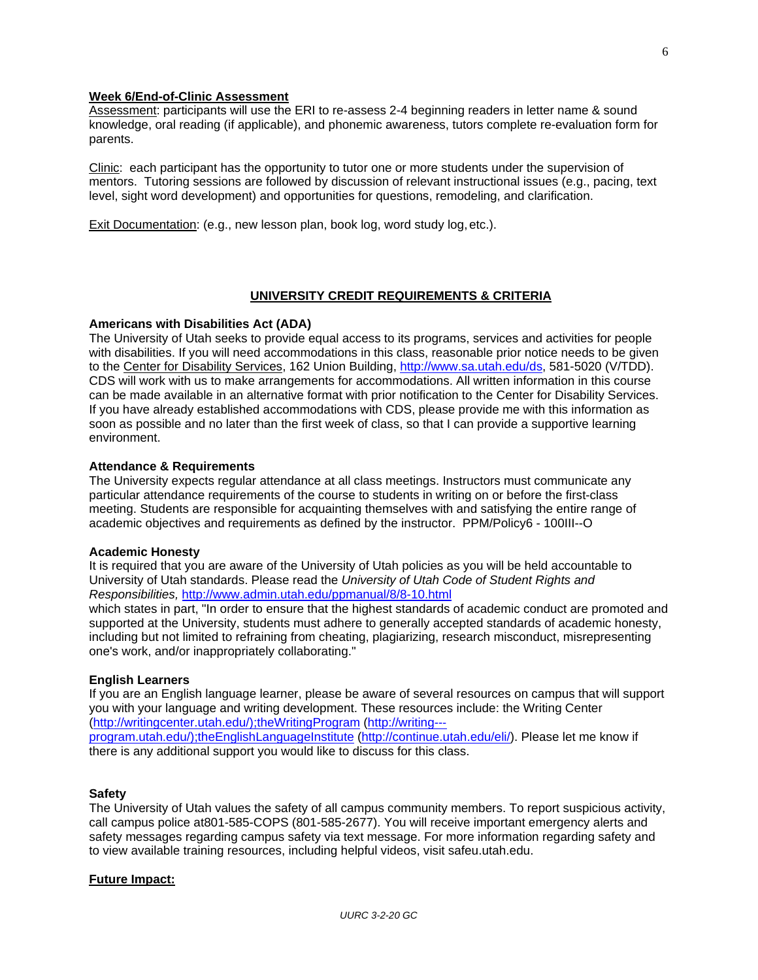### **Week 6/End-of-Clinic Assessment**

Assessment: participants will use the ERI to re-assess 2-4 beginning readers in letter name & sound knowledge, oral reading (if applicable), and phonemic awareness, tutors complete re-evaluation form for parents.

Clinic: each participant has the opportunity to tutor one or more students under the supervision of mentors. Tutoring sessions are followed by discussion of relevant instructional issues (e.g., pacing, text level, sight word development) and opportunities for questions, remodeling, and clarification.

Exit Documentation: (e.g., new lesson plan, book log, word study log, etc.).

### **UNIVERSITY CREDIT REQUIREMENTS & CRITERIA**

#### **Americans with Disabilities Act (ADA)**

The University of Utah seeks to provide equal access to its programs, services and activities for people with disabilities. If you will need accommodations in this class, reasonable prior notice needs to be given to the Center for Disability Services, 162 Union Building, [http://www.sa.utah.edu/ds,](http://www.sa.utah.edu/ds) 581-5020 (V/TDD). CDS will work with us to make arrangements for accommodations. All written information in this course can be made available in an alternative format with prior notification to the Center for Disability Services. If you have already established accommodations with CDS, please provide me with this information as soon as possible and no later than the first week of class, so that I can provide a supportive learning environment.

#### **Attendance & Requirements**

The University expects regular attendance at all class meetings. Instructors must communicate any particular attendance requirements of the course to students in writing on or before the first-class meeting. Students are responsible for acquainting themselves with and satisfying the entire range of academic objectives and requirements as defined by the instructor. PPM/Policy6 - 100III--O

#### **Academic Honesty**

It is required that you are aware of the University of Utah policies as you will be held accountable to University of Utah standards. Please read the *University of Utah Code of Student Rights and Responsibilities,* <http://www.admin.utah.edu/ppmanual/8/8-10.html>

which states in part, "In order to ensure that the highest standards of academic conduct are promoted and supported at the University, students must adhere to generally accepted standards of academic honesty, including but not limited to refraining from cheating, plagiarizing, research misconduct, misrepresenting one's work, and/or inappropriately collaborating."

### **English Learners**

If you are an English language learner, please be aware of several resources on campus that will support you with your language and writing development. These resources include: the Writing Center [\(http://writingcenter.utah.edu/\);theWritingProgram](http://writingcenter.utah.edu/);theWritingProgram) [\(http://writing--](http://writing--%E2%80%90program.utah.edu/);theEnglishLanguageInstitute)‐ [program.utah.edu/\);theEnglishLanguageInstitute](http://writing--%E2%80%90program.utah.edu/);theEnglishLanguageInstitute) [\(http://continue.utah.edu/eli/\)](http://continue.utah.edu/eli/). Please let me know if

there is any additional support you would like to discuss for this class.

#### **Safety**

The University of Utah values the safety of all campus community members. To report suspicious activity, call campus police at801-585-COPS (801-585-2677). You will receive important emergency alerts and safety messages regarding campus safety via text message. For more information regarding safety and to view available training resources, including helpful videos, visit safeu.utah.edu.

#### **Future Impact:**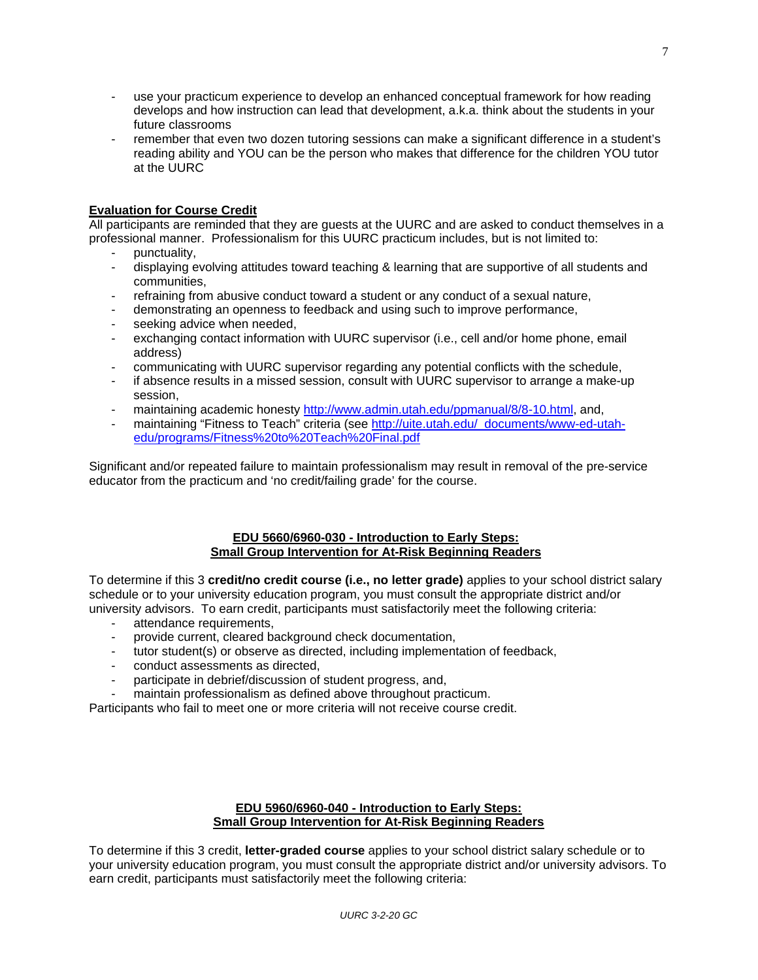- use your practicum experience to develop an enhanced conceptual framework for how reading develops and how instruction can lead that development, a.k.a. think about the students in your future classrooms
- remember that even two dozen tutoring sessions can make a significant difference in a student's reading ability and YOU can be the person who makes that difference for the children YOU tutor at the UURC

# **Evaluation for Course Credit**

All participants are reminded that they are guests at the UURC and are asked to conduct themselves in a professional manner. Professionalism for this UURC practicum includes, but is not limited to:

- punctuality,
- displaying evolving attitudes toward teaching & learning that are supportive of all students and communities,
- refraining from abusive conduct toward a student or any conduct of a sexual nature,
- demonstrating an openness to feedback and using such to improve performance,
- seeking advice when needed.
- exchanging contact information with UURC supervisor (i.e., cell and/or home phone, email address)
- communicating with UURC supervisor regarding any potential conflicts with the schedule,
- if absence results in a missed session, consult with UURC supervisor to arrange a make-up session,
- maintaining academic honesty [http://www.admin.utah.edu/ppmanual/8/8-10.html,](https://www.umail.utah.edu/owa/redir.aspx?SURL=7Mj-xgjJprW-8_KDoihWGZU8QkpgPuZ5ejhyXDEDdfWoIO8poJfSCGgAdAB0AHAAOgAvAC8AdwB3AHcALgBhAGQAbQBpAG4ALgB1AHQAYQBoAC4AZQBkAHUALwBwAHAAbQBhAG4AdQBhAGwALwA4AC8AOAAtADEAMAAuAGgAdABtAGwA&URL=http%3a%2f%2fwww.admin.utah.edu%2fppmanual%2f8%2f8-10.html) and,
- maintaining "Fitness to Teach" criteria (see [http://uite.utah.edu/\\_documents/www-ed-utah](http://uite.utah.edu/_documents/www-ed-utah-edu/programs/Fitness%20to%20Teach%20Final.pdf)[edu/programs/Fitness%20to%20Teach%20Final.pdf](http://uite.utah.edu/_documents/www-ed-utah-edu/programs/Fitness%20to%20Teach%20Final.pdf)

Significant and/or repeated failure to maintain professionalism may result in removal of the pre-service educator from the practicum and 'no credit/failing grade' for the course.

### **EDU 5660/6960-030 - Introduction to Early Steps: Small Group Intervention for At-Risk Beginning Readers**

To determine if this 3 **credit/no credit course (i.e., no letter grade)** applies to your school district salary schedule or to your university education program, you must consult the appropriate district and/or university advisors. To earn credit, participants must satisfactorily meet the following criteria:

- attendance requirements.
- provide current, cleared background check documentation,
- tutor student(s) or observe as directed, including implementation of feedback,
- conduct assessments as directed,
- participate in debrief/discussion of student progress, and,
- maintain professionalism as defined above throughout practicum.

Participants who fail to meet one or more criteria will not receive course credit.

# **EDU 5960/6960-040 - Introduction to Early Steps: Small Group Intervention for At-Risk Beginning Readers**

To determine if this 3 credit, **letter-graded course** applies to your school district salary schedule or to your university education program, you must consult the appropriate district and/or university advisors. To earn credit, participants must satisfactorily meet the following criteria: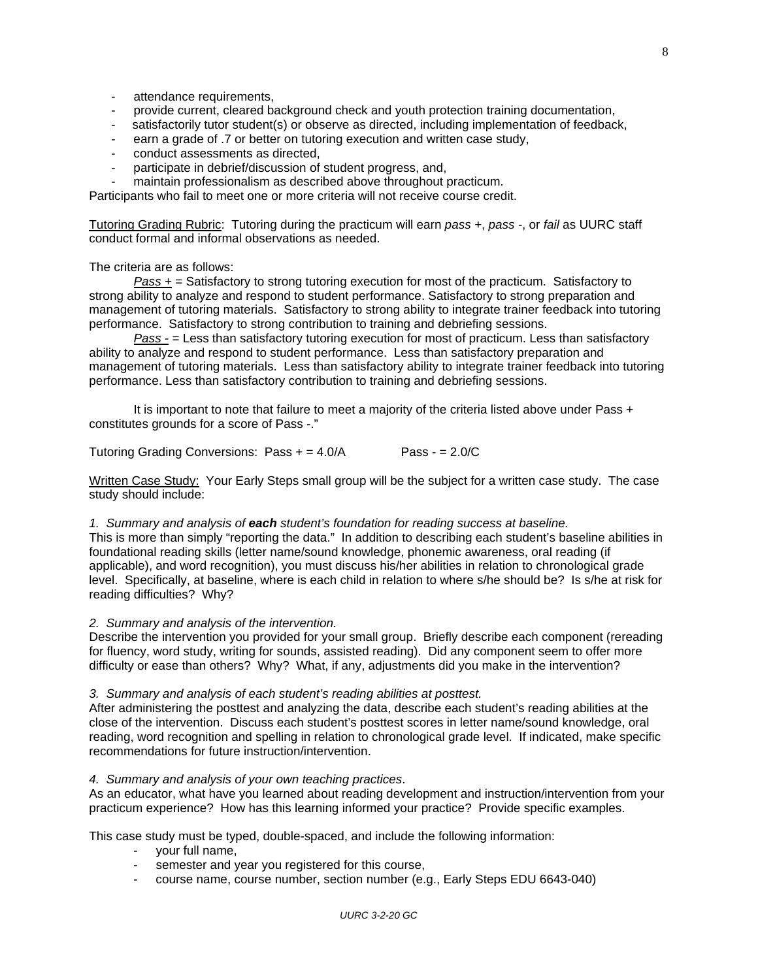- attendance requirements,
- provide current, cleared background check and youth protection training documentation,
- satisfactorily tutor student(s) or observe as directed, including implementation of feedback,
- earn a grade of .7 or better on tutoring execution and written case study,
- conduct assessments as directed,
- participate in debrief/discussion of student progress, and,

maintain professionalism as described above throughout practicum.

Participants who fail to meet one or more criteria will not receive course credit.

Tutoring Grading Rubric: Tutoring during the practicum will earn *pass +*, *pass -*, or *fail* as UURC staff conduct formal and informal observations as needed.

The criteria are as follows:

*Pass +* = Satisfactory to strong tutoring execution for most of the practicum. Satisfactory to strong ability to analyze and respond to student performance. Satisfactory to strong preparation and management of tutoring materials. Satisfactory to strong ability to integrate trainer feedback into tutoring performance. Satisfactory to strong contribution to training and debriefing sessions.

*Pass -* = Less than satisfactory tutoring execution for most of practicum. Less than satisfactory ability to analyze and respond to student performance. Less than satisfactory preparation and management of tutoring materials. Less than satisfactory ability to integrate trainer feedback into tutoring performance. Less than satisfactory contribution to training and debriefing sessions.

It is important to note that failure to meet a majority of the criteria listed above under Pass + constitutes grounds for a score of Pass -."

Tutoring Grading Conversions: Pass + = 4.0/A Pass - = 2.0/C

Written Case Study: Your Early Steps small group will be the subject for a written case study. The case study should include:

#### *1. Summary and analysis of each student's foundation for reading success at baseline.*

This is more than simply "reporting the data." In addition to describing each student's baseline abilities in foundational reading skills (letter name/sound knowledge, phonemic awareness, oral reading (if applicable), and word recognition), you must discuss his/her abilities in relation to chronological grade level. Specifically, at baseline, where is each child in relation to where s/he should be? Is s/he at risk for reading difficulties? Why?

### *2. Summary and analysis of the intervention.*

Describe the intervention you provided for your small group. Briefly describe each component (rereading for fluency, word study, writing for sounds, assisted reading). Did any component seem to offer more difficulty or ease than others? Why? What, if any, adjustments did you make in the intervention?

#### *3. Summary and analysis of each student's reading abilities at posttest.*

After administering the posttest and analyzing the data, describe each student's reading abilities at the close of the intervention. Discuss each student's posttest scores in letter name/sound knowledge, oral reading, word recognition and spelling in relation to chronological grade level. If indicated, make specific recommendations for future instruction/intervention.

#### *4. Summary and analysis of your own teaching practices*.

As an educator, what have you learned about reading development and instruction/intervention from your practicum experience? How has this learning informed your practice? Provide specific examples.

This case study must be typed, double-spaced, and include the following information:

- your full name,
- semester and year you registered for this course,
- course name, course number, section number (e.g., Early Steps EDU 6643-040)